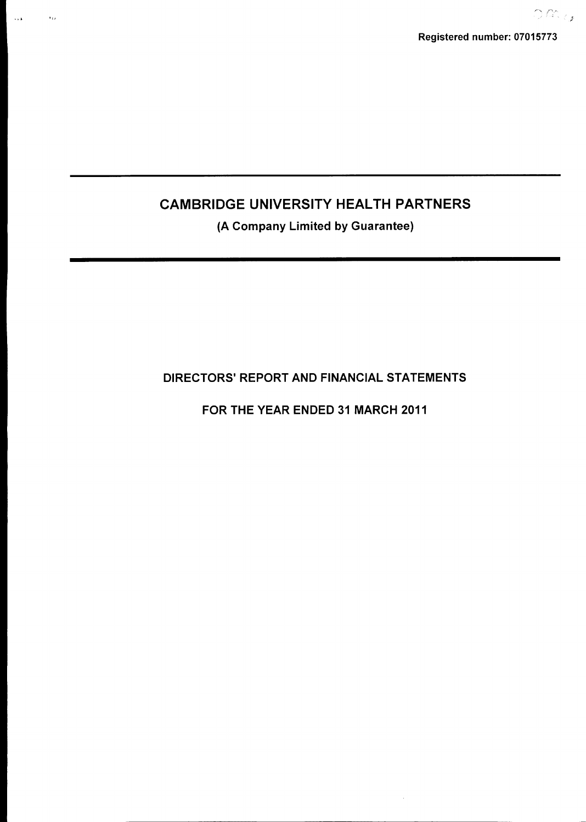**Registered number: 07015773**

 $\supset$   $\alpha_{reg}$ 

# CAMBRIDGE UNIVERSITY HEALTH PARTNERS

 $\bar{\lambda}$  is  $\bar{\lambda}$ 

 $\bar{\lambda}_{\rm{th}}$ 

(A Company Limited by Guarantee)

# DIRECTORS' REPORT AND FINANCIAL STATEMENTS

FOR THE YEAR ENDED 31 MARCH 2011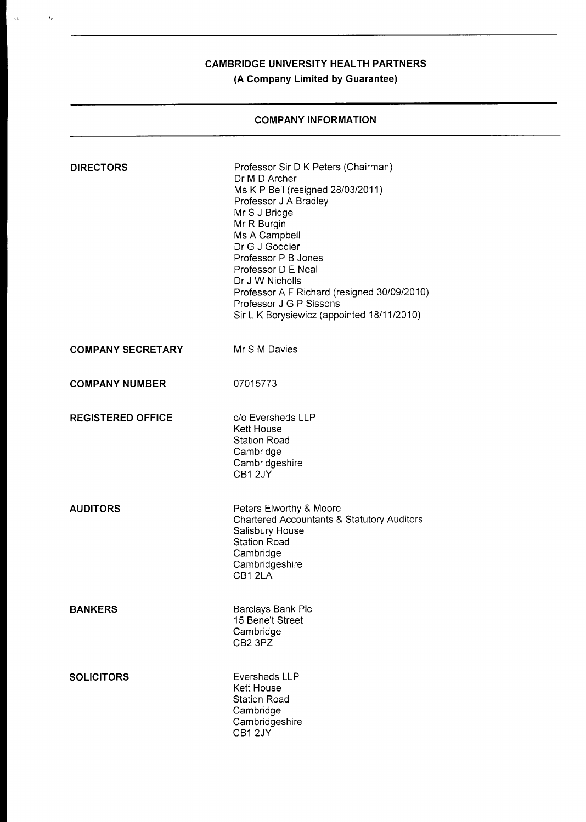$\alpha$ 

 $\hat{\mathcal{A}}$ 

#### **COMPANY INFORMATION**

| <b>DIRECTORS</b>         | Professor Sir D K Peters (Chairman)<br>Dr M D Archer<br>Ms K P Bell (resigned 28/03/2011)<br>Professor J A Bradley<br>Mr S J Bridge<br>Mr R Burgin<br>Ms A Campbell<br>Dr G J Goodier<br>Professor P B Jones<br>Professor D E Neal<br>Dr J W Nicholls<br>Professor A F Richard (resigned 30/09/2010)<br>Professor J G P Sissons<br>Sir L K Borysiewicz (appointed 18/11/2010) |
|--------------------------|-------------------------------------------------------------------------------------------------------------------------------------------------------------------------------------------------------------------------------------------------------------------------------------------------------------------------------------------------------------------------------|
| <b>COMPANY SECRETARY</b> | Mr S M Davies                                                                                                                                                                                                                                                                                                                                                                 |
| <b>COMPANY NUMBER</b>    | 07015773                                                                                                                                                                                                                                                                                                                                                                      |
| <b>REGISTERED OFFICE</b> | c/o Eversheds LLP<br><b>Kett House</b><br><b>Station Road</b><br>Cambridge<br>Cambridgeshire<br>CB1 2JY                                                                                                                                                                                                                                                                       |
| <b>AUDITORS</b>          | Peters Elworthy & Moore<br><b>Chartered Accountants &amp; Statutory Auditors</b><br>Salisbury House<br><b>Station Road</b><br>Cambridge<br>Cambridgeshire<br>CB12LA                                                                                                                                                                                                           |
| <b>BANKERS</b>           | Barclays Bank Plc<br>15 Bene't Street<br>Cambridge<br>CB <sub>2</sub> 3PZ                                                                                                                                                                                                                                                                                                     |
| <b>SOLICITORS</b>        | Eversheds LLP<br><b>Kett House</b><br><b>Station Road</b><br>Cambridge<br>Cambridgeshire<br>CB1 2JY                                                                                                                                                                                                                                                                           |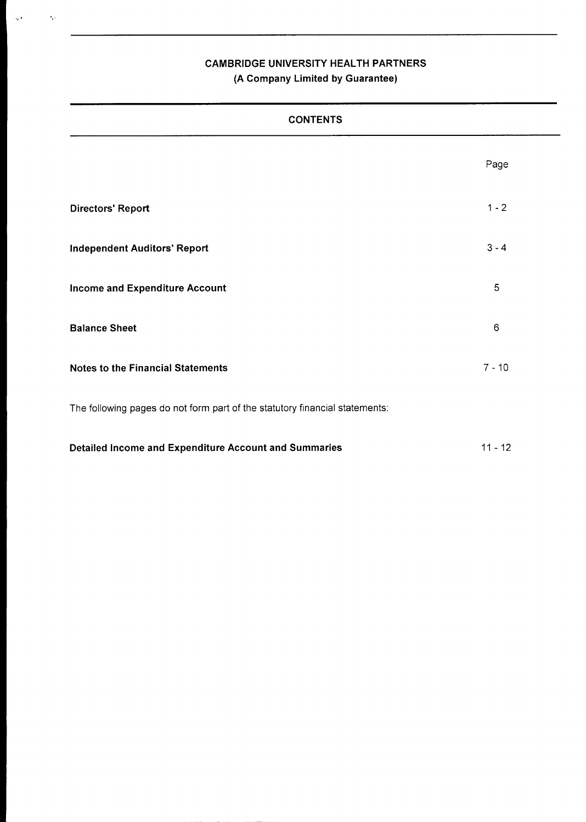$\zeta_{\rm C}$ 

 $\gamma_{\rm c}$ 

| <b>CONTENTS</b> |  |
|-----------------|--|
|-----------------|--|

|                                                                             | Page      |  |
|-----------------------------------------------------------------------------|-----------|--|
| <b>Directors' Report</b>                                                    | $1 - 2$   |  |
| <b>Independent Auditors' Report</b>                                         | $3 - 4$   |  |
| <b>Income and Expenditure Account</b>                                       | 5         |  |
| <b>Balance Sheet</b>                                                        | 6         |  |
| <b>Notes to the Financial Statements</b>                                    | $7 - 10$  |  |
| The following pages do not form part of the statutory financial statements: |           |  |
| Detailed Income and Expenditure Account and Summaries                       | $11 - 12$ |  |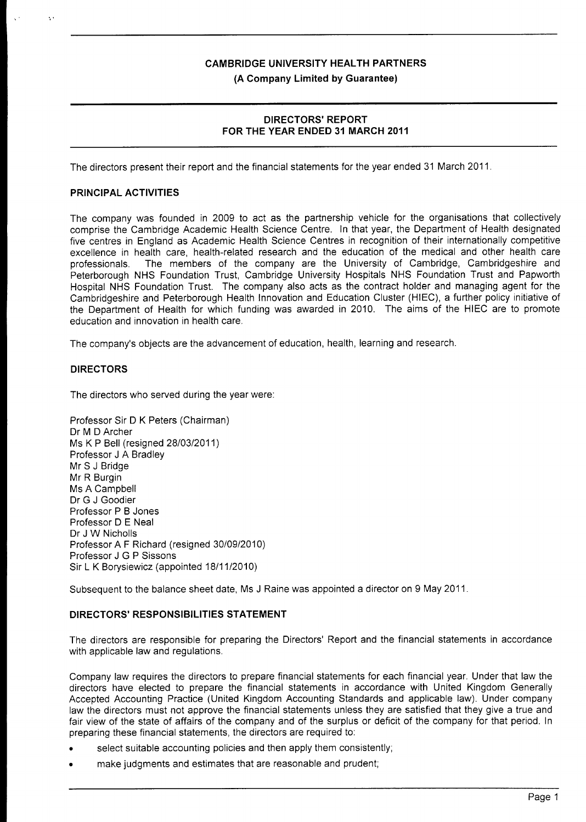#### **DIRECTORS' REPORT FOR THE YEAR ENDED 31 MARCH 2011**

The directors present their report and the financial statements for the year ended 31 March 2011.

#### **PRINCIPAL ACTIVITIES**

A.

The company was founded in 2009 to act as the partnership vehicle for the organisations that collectively comprise the Cambridge Academic Health Science Centre. In that year, the Department of Health designated five centres in England as Academic Health Science Centres in recognition of their internationally competitive excellence in health care, health-related research and the education of the medical and other health care professionals. The members of the company are the University of Cambridge, Cambridgeshire and Peterborough NHS Foundation Trust, Cambridge University Hospitals NHS Foundation Trust and Papworth Hospital NHS Foundation Trust. The company also acts as the contract holder and managing agent for the Cambridgeshire and Peterborough Health Innovation and Education Cluster (HIEC), a further policy initiative of the Department of Health for which funding was awarded in 2010. The aims of the HIEC are to promote education and innovation in health care.

The company's objects are the advancement of education, health, learning and research.

#### **DIRECTORS**

The directors who served during the year were:

Professor Sir D K Peters (Chairman) Dr M D Archer Ms K P Bell (resigned 28/03/2011) Professor J A Bradley Mr S J Bridge Mr R Burgin Ms A Campbell Dr G J Goodier Professor P B Jones Professor D E Neal Dr J W Nicholls Professor A F Richard (resigned 30/09/2010) Professor J G P Sissons Sir L K Borysiewicz (appointed 18/11/2010)

Subsequent to the balance sheet date, Ms J Raine was appointed a director on 9 May 2011.

#### **DIRECTORS' RESPONSIBILITIES STATEMENT**

The directors are responsible for preparing the Directors' Report and the financial statements in accordance with applicable law and regulations.

Company law requires the directors to prepare financial statements for each financial year. Under that law the directors have elected to prepare the financial statements in accordance with United Kingdom Generally Accepted Accounting Practice (United Kingdom Accounting Standards and applicable law). Under company law the directors must not approve the financial statements unless they are satisfied that they give a true and fair view of the state of affairs of the company and of the surplus or deficit of the company for that period. In preparing these financial statements, the directors are required to:

- select suitable accounting policies and then apply them consistently;
- make judgments and estimates that are reasonable and prudent;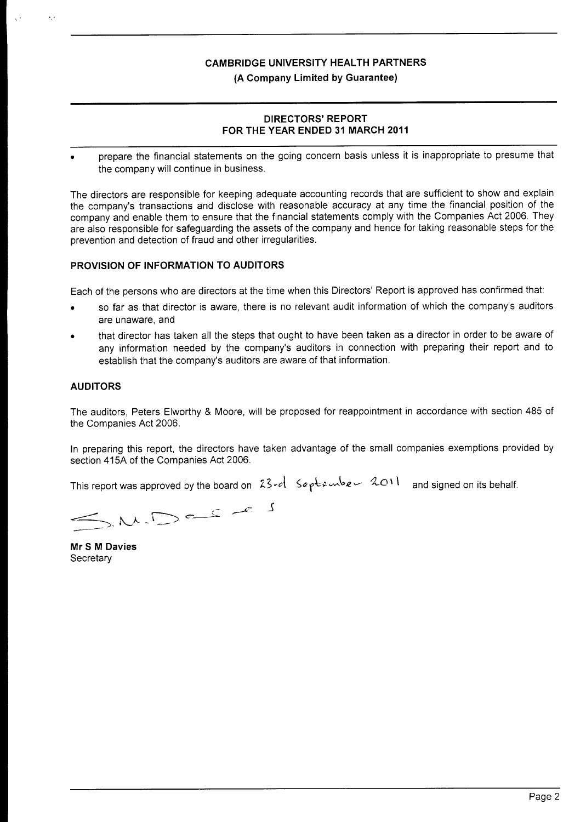#### **DIRECTORS' REPORT FOR THE YEAR ENDED 31 MARCH 2011**

**.** prepare the financial statements on the going concern basis unless it is inappropriate to presume that the company will continue in business.

The directors are responsible for keeping adequate accounting records that are sufficient to show and explain the company's transactions and disclose with reasonable accuracy at any time the financial position of the company and enable them to ensure that the financial statements comply with the Companies Act 2006. They are also responsible for safeguarding the assets of the company and hence for taking reasonable steps for the prevention and detection of fraud and other irregularities.

#### **PROVISION OF INFORMATION TO AUDITORS**

Each of the persons who are directors at the time when this Directors' Report is approved has confirmed that:

- so far as that director is aware, there is no relevant audit information of which the company's auditors are unaware, and
- . that director has taken all the steps that ought to have been taken as a director in order to be aware of any information needed by the company's auditors in connection with preparing their report and to establish that the company's auditors are aware of that information.

#### **AUDITORS**

 $\ddotsc$ 

The auditors, Peters Elworthy & Moore, will be proposed for reappointment in accordance with section 485 of the Companies Act 2006.

In preparing this report, the directors have taken advantage of the small companies exemptions provided by section 415A of the Companies Act 2006.

This report was approved by the board on  $23 \cdot d$   $68$   $68$   $100$   $100$  and signed on its behalf.

SNDCS es

**Mr S M Davies Secretary**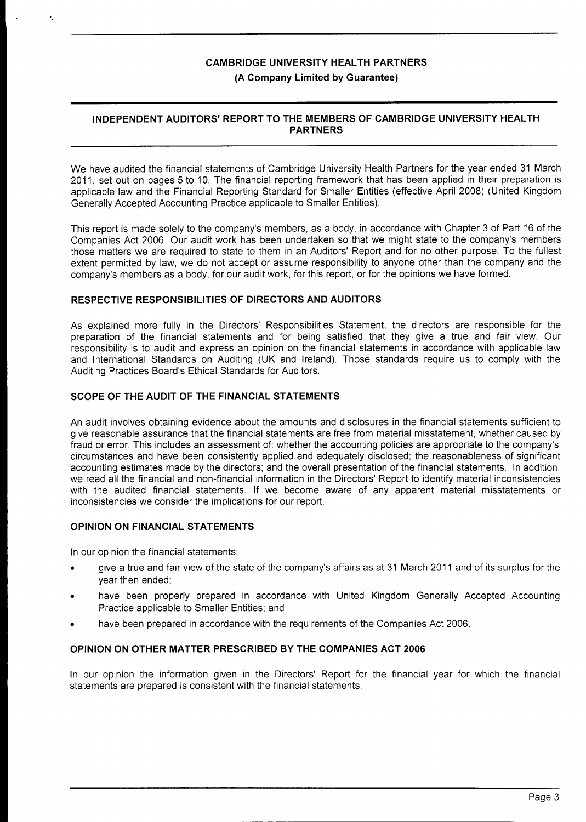#### **INDEPENDENT AUDITORS REPORT TO THE MEMBERS OF CAMBRIDGE UNIVERSITY HEALTH PARTNERS**

We have audited the financial statements of Cambridge University Health Partners for the year ended 31 March 2011, set out on pages 5 to 10. The financial reporting framework that has been applied in their preparation is applicable law and the Financial Reporting Standard for Smaller Entities (effective April 2008) (United Kingdom Generally Accepted Accounting Practice applicable to Smaller Entities).

This report is made solely to the company's members, as a body, in accordance with Chapter 3 of Part 16 of the Companies Act 2006. Our audit work has been undertaken so that we might state to the company's members those matters we are required to state to them in an Auditors' Report and for no other purpose. To the fullest extent permitted by law, we do not accept or assume responsibility to anyone other than the company and the company's members as a body, for our audit work, for this report, or for the opinions we have formed.

#### **RESPECTIVE RESPONSIBILITIES OF DIRECTORS AND AUDITORS**

As explained more fully in the Directors' Responsibilities Statement, the directors are responsible for the preparation of the financial statements and for being satisfied that they give a true and fair view. Our responsibility is to audit and express an opinion on the financial statements in accordance with applicable law and International Standards on Auditing (UK and Ireland). Those standards require us to comply with the Auditing Practices Board's Ethical Standards for Auditors.

#### **SCOPE OF THE AUDIT OF THE FINANCIAL STATEMENTS**

An audit involves obtaining evidence about the amounts and disclosures in the financial statements sufficient to give reasonable assurance that the financial statements are free from material misstatement, whether caused by fraud or error. This includes an assessment of: whether the accounting policies are appropriate to the company's circumstances and have been consistently applied and adequately disclosed; the reasonableness of significant accounting estimates made by the directors; and the overall presentation of the financial statements. In addition, we read all the financial and non-financial information in the Directors' Report to identify material inconsistencies with the audited financial statements. If we become aware of any apparent material misstatements or inconsistencies we consider the implications for our report.

#### **OPINION ON FINANCIAL STATEMENTS**

In our opinion the financial statements:

 $\bullet$ 

- give a true and fair view of the state of the company's affairs as at 31 March 2011 and of its surplus for the year then ended;
- have been properly prepared in accordance with United Kingdom Generally Accepted Accounting Practice applicable to Smaller Entities; and
- have been prepared in accordance with the requirements of the Companies Act 2006.

#### **OPINION ON OTHER MATTER PRESCRIBED BY THE COMPANIES ACT 2006**

In our opinion the information given in the Directors' Report for the financial year for which the financial statements are prepared is consistent with the financial statements.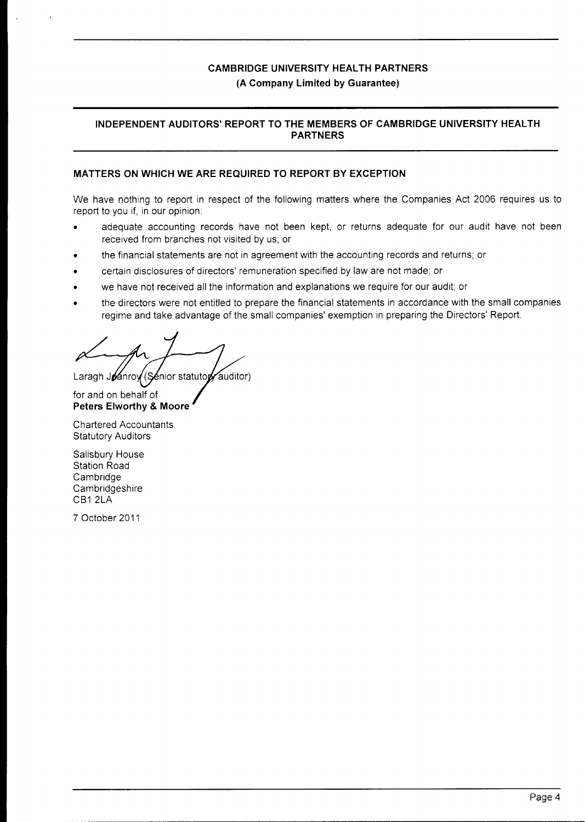#### **INDEPENDENT AUDITORS REPORT TO THE MEMBERS OF CAMBRIDGE UNIVERSITY HEALTH PARTNERS**

#### **MATTERS ON WHICH WE ARE REQUIRED TO REPORT BY EXCEPTION**

We have nothing to report in respect of the following matters where the Companies Act 2006 requires us to report to you if, in our opinion:

- adequate accounting records have not been kept, or returns adequate for our audit have not been received from branches not visited by us; or
- the financial statements are not in agreement with the accounting records and returns; or
- certain disclosures of directors' remuneration specified by law are not made; or
- we have not received all the information and explanations we require for our audit; or
- the directors were not entitled to prepare the financial statements in accordance with the small companies regime and take advantage of the small companies' exemption in preparing the Directors' Report.

Laragh Joanroy (Senior statutor auditor)

for and on behalf of **Peters Elworthy** & **Moore**

Chartered Accountants Statutory Auditors

Salisbury House Station Road Cambridge **Cambridgeshire** CB1 2LA

7 October 2011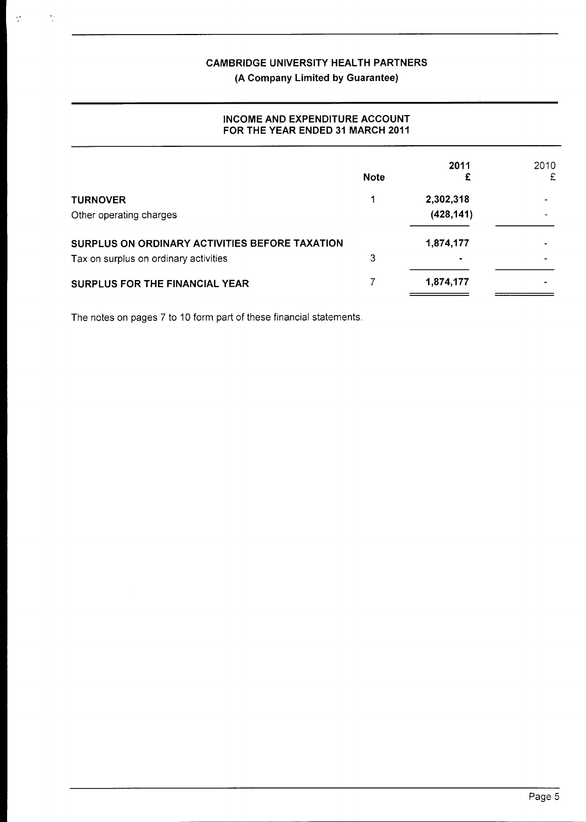#### **INCOME AND EXPENDITURE ACCOUNT FOR THE YEAR ENDED 31 MARCH 2011**

|                                                | <b>Note</b> | 2011       | 2010<br>£ |
|------------------------------------------------|-------------|------------|-----------|
| <b>TURNOVER</b>                                |             | 2,302,318  |           |
| Other operating charges                        |             | (428, 141) |           |
| SURPLUS ON ORDINARY ACTIVITIES BEFORE TAXATION |             | 1,874,177  |           |
| Tax on surplus on ordinary activities          | 3           |            |           |
| SURPLUS FOR THE FINANCIAL YEAR                 |             | 1,874,177  |           |

The notes on pages 7 to 10 form part of these financial statements.

 $\frac{1}{2}$ 

 $\mathcal{C}$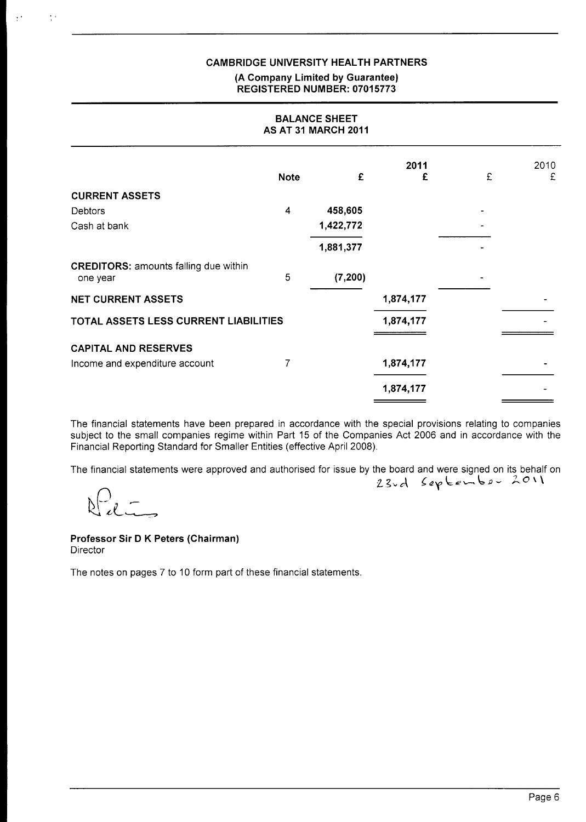#### **(A Company Limited by Guarantee) REGISTERED NUMBER: 07015773**

| PULLIVE AILE<br><b>AS AT 31 MARCH 2011</b> |             |   |           |  |
|--------------------------------------------|-------------|---|-----------|--|
| £                                          | 2011<br>£   | £ | 2010<br>£ |  |
|                                            |             |   |           |  |
| 458,605                                    |             |   |           |  |
| 1,422,772                                  |             |   |           |  |
| 1,881,377                                  |             |   |           |  |
| (7, 200)                                   |             |   |           |  |
|                                            | 1,874,177   |   |           |  |
|                                            | 1,874,177   |   |           |  |
|                                            |             |   |           |  |
|                                            | 1,874,177   |   |           |  |
|                                            | 1,874,177   |   |           |  |
|                                            | <b>Note</b> |   |           |  |

**BALANCE SHEET**

The financial statements have been prepared in accordance with the special provisions relating to companies subject to the small companies regime within Part 15 of the Companies Act 2006 and in accordance with the Financial Reporting Standard for Smaller Entities (effective April 2008).

The financial statements were approved and authorised for issue by the board and were signed on its behalf on<br>  $23-d$   $5e$ <br>  $24$   $-201$ 

 $\mathcal{C}^{\mathcal{A}}$ 

#### **Professor Sir D K Peters (Chairman)** Director

The notes on pages 7 to 10 form part of these financial statements.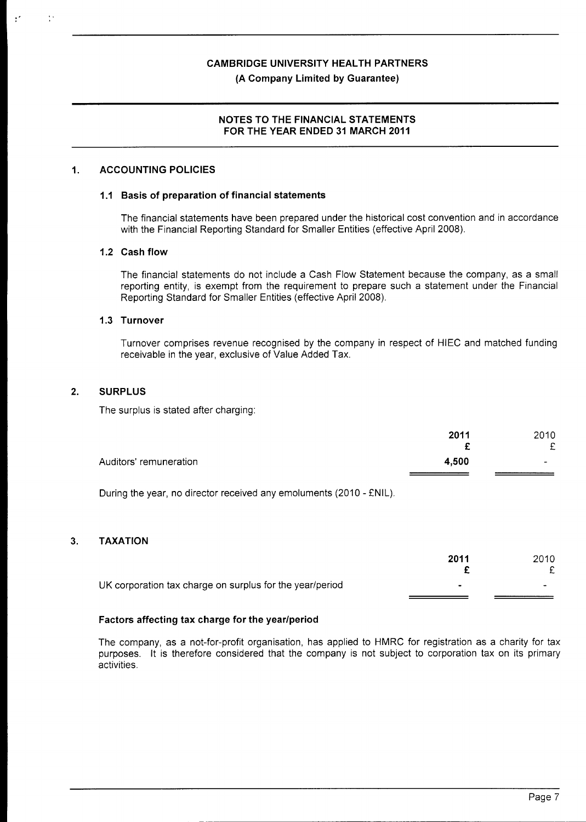#### **(A Company Limited by Guarantee)**

#### **NOTES TO THE FINANCIAL STATEMENTS FOR THE YEAR ENDED 31 MARCH 2011**

#### **1. ACCOUNTING POLICIES**

 $\frac{1}{2}$  :

#### **1.1 Basis of preparation of financial statements**

The financial statements have been prepared under the historical cost convention and in accordance with the Financial Reporting Standard for Smaller Entities (effective April 2008).

#### **1.2 Cash flow**

The financial statements do not include a Cash Flow Statement because the company, as a small reporting entity, is exempt from the requirement to prepare such a statement under the Financial Reporting Standard for Smaller Entities (effective April 2008).

#### **1.3 Turnover**

Turnover comprises revenue recognised by the company in respect of HIEC and matched funding receivable in the year, exclusive of Value Added Tax.

#### **2. SURPLUS**

The surplus is stated after charging:

|                        | 2011  | 2010                     |
|------------------------|-------|--------------------------|
| Auditors' remuneration | f     | £                        |
|                        | 4,500 | $\overline{\phantom{a}}$ |
|                        |       |                          |

During the year, no director received any emoluments (2010 - £NIL).

#### **3. TAXATION**

|                                                          | 2011           | 2010 |
|----------------------------------------------------------|----------------|------|
| UK corporation tax charge on surplus for the year/period | $\blacksquare$ |      |

#### **Factors affecting tax charge for the year!period**

The company, as a not-for-profit organisation, has applied to HMRC for registration as a charity for tax purposes. It is therefore considered that the company is not subject to corporation tax on its primary activities.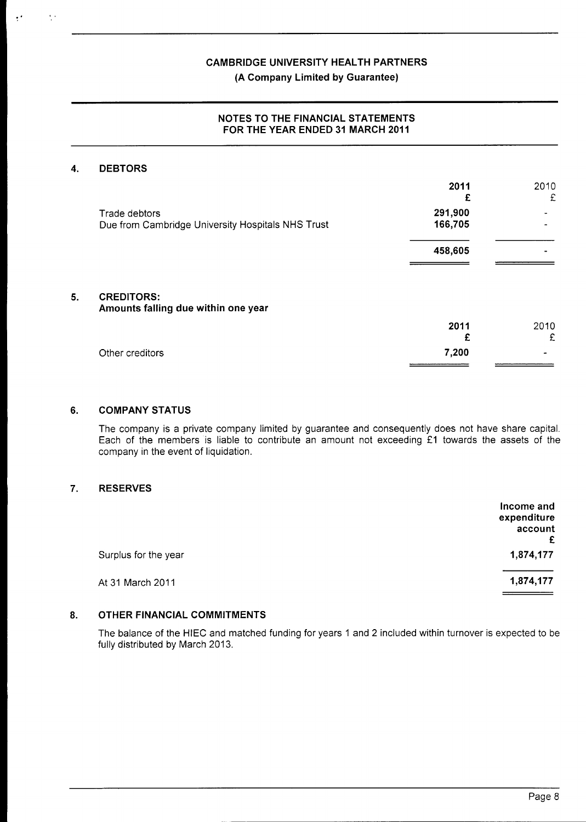# **(A Company Limited by Guarantee)**

#### **NOTES TO THE FINANCIAL STATEMENTS FOR THE YEAR ENDED 31 MARCH 2011**

#### **4. DEBTORS**

**I,,**

 $\frac{1}{2}$  :

|    |                                                                    | 2011<br>£          | 2010<br>£ |
|----|--------------------------------------------------------------------|--------------------|-----------|
|    | Trade debtors<br>Due from Cambridge University Hospitals NHS Trust | 291,900<br>166,705 |           |
|    |                                                                    | 458,605            |           |
| 5. | <b>CREDITORS:</b><br>Amounts falling due within one year           |                    |           |
|    |                                                                    | 2011<br>£          | 2010<br>£ |
|    | Other creditors                                                    | 7,200              |           |

#### **6. COMPANY STATUS**

The company is a private company limited by guarantee and consequently does not have share capital. Each of the members is liable to contribute an amount not exceeding £1 towards the assets of the company in the event of liquidation.

#### **7. RESERVES**

|                      | Income and<br>expenditure<br>account<br>£ |
|----------------------|-------------------------------------------|
| Surplus for the year | 1,874,177                                 |
| At 31 March 2011     | 1,874,177                                 |
|                      |                                           |

#### **8. OTHER FINANCIAL COMMITMENTS**

The balance of the HIEC and matched funding for years 1 and 2 included within turnover is expected to be fully distributed by March 2013.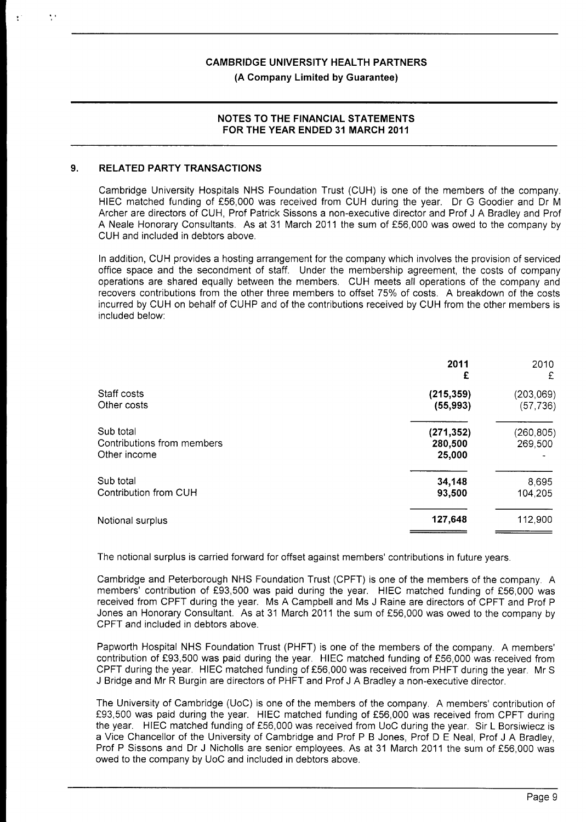**(A Company Limited by Guarantee)**

#### **NOTES TO THE FINANCIAL STATEMENTS FOR THE YEAR ENDED 31 MARCH 2011**

#### **RELATED PARTY TRANSACTIONS** 9.

 $\ddot{\phantom{1}}$ 

Cambridge University Hospitals NHS Foundation Trust (CUH) is one of the members of the company. HIEC matched funding of £56,000 was received from CUH during the year. Dr G Goodier and Dr M Archer are directors of CUH, Prof Patrick Sissons a non-executive director and Prof J A Bradley and Prof A Neale Honorary Consultants. As at 31 March 2011 the sum of £56,000 was owed to the company by CUH and included in debtors above.

In addition, CUH provides a hosting arrangement for the company which involves the provision of serviced office space and the secondment of staff. Under the membership agreement, the costs of company operations are shared equally between the members. CUH meets all operations of the company and recovers contributions from the other three members to offset 75% of costs. A breakdown of the costs incurred by CUH on behalf of CUHP and of the contributions received by CUH from the other members is included below:

|                                                         | 2011<br>£                       | 2010<br>£              |
|---------------------------------------------------------|---------------------------------|------------------------|
| Staff costs<br>Other costs                              | (215, 359)<br>(55, 993)         | (203,069)<br>(57, 736) |
| Sub total<br>Contributions from members<br>Other income | (271, 352)<br>280,500<br>25,000 | (260, 805)<br>269,500  |
| Sub total<br>Contribution from CUH                      | 34,148<br>93,500                | 8,695<br>104,205       |
| Notional surplus                                        | 127,648                         | 112,900                |

The notional surplus is carried forward for offset against members' contributions in future years.

Cambridge and Peterborough NHS Foundation Trust (CPFT) is one of the members of the company. A members' contribution of £93,500 was paid during the year. HIEC matched funding of £56,000 was received from CPFT during the year. Ms A Campbell and Ms J Raine are directors of CPFT and Prof P Jones an Honorary Consultant. As at 31 March 2011 the sum of £56,000 was owed to the company by CPFT and included in debtors above.

Papworth Hospital NHS Foundation Trust (PHFT) is one of the members of the company. A members' contribution of £93,500 was paid during the year. HIEC matched funding of £56,000 was received from CPFT during the year. HIEC matched funding of £56,000 was received from PHFT during the year. Mr S J Bridge and Mr R Burgin are directors of PHFT and Prof J A Bradley a non-executive director.

The University of Cambridge (U0C) is one of the members of the company. A members' contribution of £93,500 was paid during the year. HIEC matched funding of £56,000 was received from CPFT during the year. HIEC matched funding of £56,000 was received from UoC during the year. Sir L Borsiwiecz is a Vice Chancellor of the University of Cambridge and Prof P B Jones, Prof D E Neal, Prof J A Bradley, Prof P Sissons and Dr J Nicholls are senior employees. As at 31 March 2011 the sum of £56,000 was owed to the company by UoC and included in debtors above.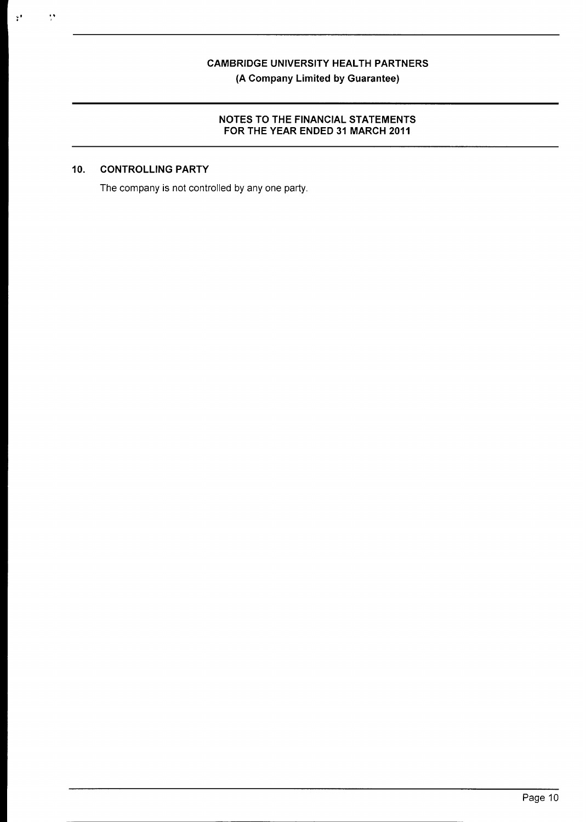#### NOTES TO THE FINANCIAL STATEMENTS FOR THE YEAR ENDED 31 MARCH 2011

## 10. CONTROLLING PARTY

 $\ddot{\Omega}$ 

 $\mathbb{R}^4$ 

The company is not controlled by any one party.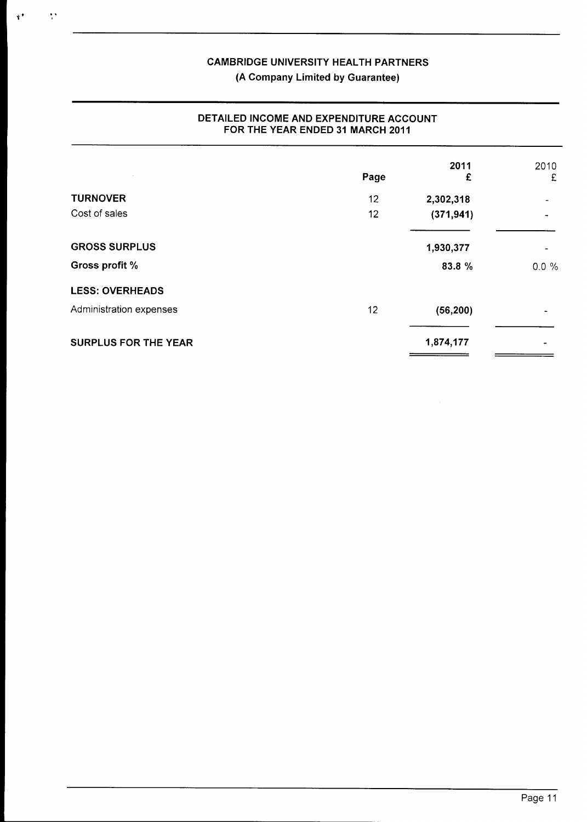$\overline{\mathcal{D}}$ 

 $\mathbf{v}$ 

# **(A Company Limited by Guarantee)**

|                             | Page            | 2011<br>£  | 2010<br>£      |
|-----------------------------|-----------------|------------|----------------|
| <b>TURNOVER</b>             | 12              | 2,302,318  |                |
| Cost of sales               | 12              | (371, 941) |                |
| <b>GROSS SURPLUS</b>        |                 | 1,930,377  |                |
| Gross profit %              |                 | 83.8 %     | $0.0 \%$       |
| <b>LESS: OVERHEADS</b>      |                 |            |                |
| Administration expenses     | 12 <sub>2</sub> | (56, 200)  | $\blacksquare$ |
| <b>SURPLUS FOR THE YEAR</b> |                 | 1,874,177  |                |

#### **DETAILED INCOME AND EXPENDITURE ACCOUNT FOR THE YEAR ENDED 31 MARCH 2011**

**Page 11**